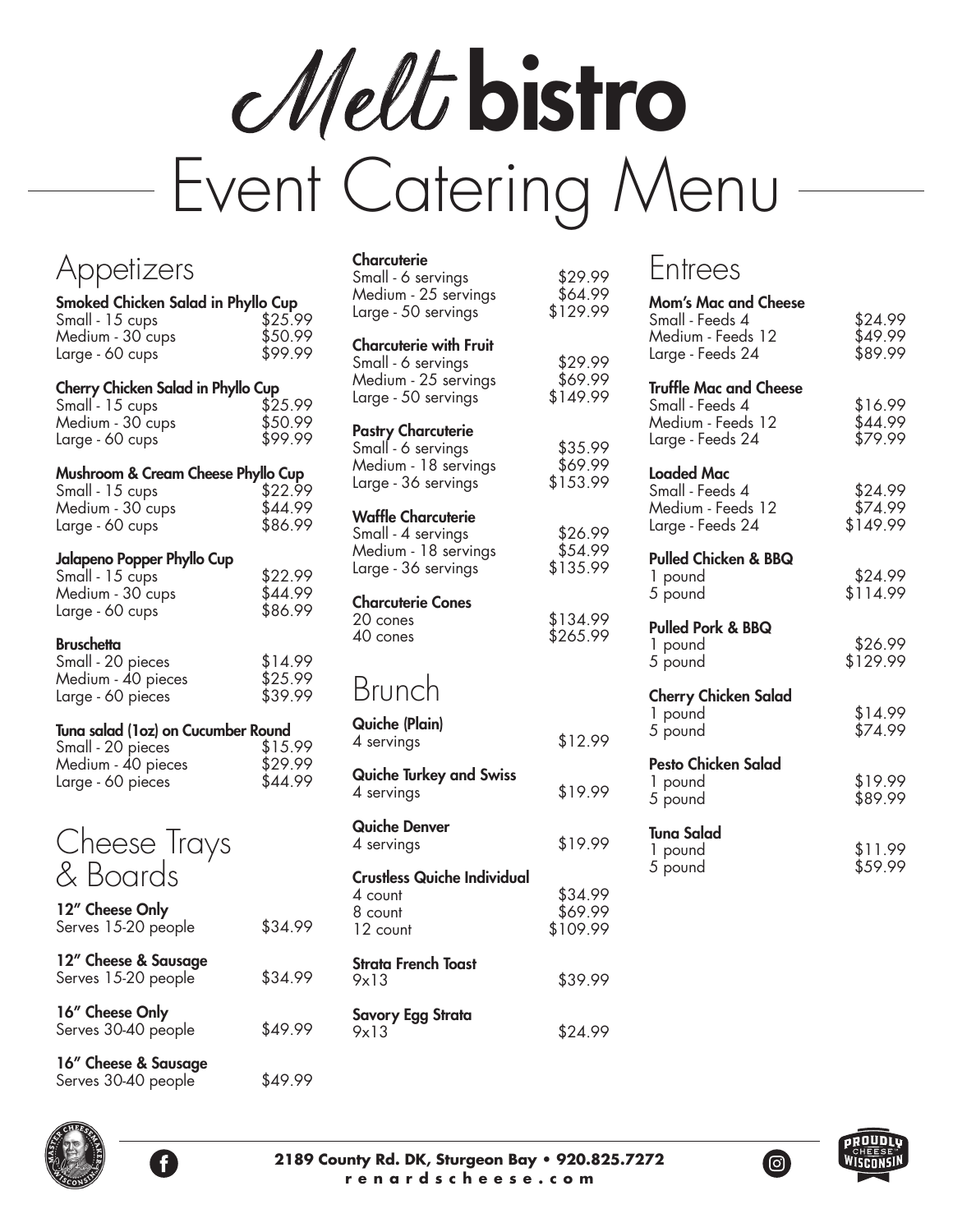Melt bistro Event Catering Menu

| Appetizers                                                                                              |                               |
|---------------------------------------------------------------------------------------------------------|-------------------------------|
| Smoked Chicken Salad in Phyllo Cup<br>Small - 15 cups<br>Medium - 30 cups<br>Large - 60 cups            | \$25.99<br>\$50.99<br>\$99.99 |
| <b>Cherry Chicken Salad in Phyllo Cup</b><br>Small - 15 cups<br>Medium - 30 cups<br>Large - 60 cups     | \$25.99<br>\$50.99<br>\$99.99 |
| <b>Mushroom &amp; Cream Cheese Phyllo Cup</b><br>Small - 15 cups<br>Medium - 30 cups<br>Large - 60 cups | \$22.99<br>\$44.99<br>\$86.99 |
| Jalapeno Popper Phyllo Cup<br>Small - 15 cups<br>Medium - 30 cups<br>Large - 60 cups                    | \$22.99<br>\$44.99<br>\$86.99 |
| <b>Bruschetta</b><br>Small - 20 pieces<br>Medium - 40 pieces<br>Large - 60 pieces                       | \$14.99<br>\$25.99<br>\$39.99 |
| Tuna salad (1oz) on Cucumber Round<br>Small - 20 pieces<br>Medium - 40 pieces<br>Large - 60 pieces      | \$15.99<br>\$29.99<br>\$44.99 |
| Cheese Trays<br>& Boards<br>12" Cheese Only                                                             |                               |
| Serves 15-20 people                                                                                     | \$34.99                       |
| 12" Cheese & Sausage<br>Serves 15-20 people                                                             | \$34.99                       |
| 16" Cheese Only<br>Serves 30-40 people                                                                  | \$49.99                       |
| 16" Cheese & Sausage<br>Serves 30-40 people                                                             | \$49.99                       |

| Charcuterie<br>Small - 6 servings<br>Medium - 25 servings<br>Large - 50 servings               | \$29.99<br>\$64.99<br>\$129.99 |
|------------------------------------------------------------------------------------------------|--------------------------------|
| Charcuterie with Fruit<br>Small - 6 servings<br>Medium - 25 servings<br>Large - 50 servings    | \$29.99<br>\$69.99<br>\$149.99 |
| <b>Pastry Charcuterie</b><br>Small - 6 servings<br>Medium - 18 servings<br>Large - 36 servings | \$35.99<br>\$69.99<br>\$153.99 |
| <b>Waffle Charcuterie</b><br>Small - 4 servings<br>Medium - 18 servings<br>Large - 36 servings | \$26.99<br>\$54.99<br>\$135.99 |
| <b>Charcuterie Cones</b><br>20 cones<br>40 cones                                               | \$134.99<br>\$265.99           |
| Brunch                                                                                         |                                |
| Quiche (Plain)<br>4 servings                                                                   | \$12.99                        |
| Quiche Turkey and Swiss<br>4 servings                                                          | \$19.99                        |
| Quiche Denver<br>4 servings                                                                    | \$19.99                        |
| Crustless Quiche Individual<br>4 count<br>8 count<br>12 count                                  | \$34.99<br>\$69.99<br>\$109.99 |
| Strata French Toast<br>9x13                                                                    | \$39.99                        |
| Savory Egg Strata<br>9x13                                                                      | \$24.99                        |

# Entrees

| <b>Mom's Mac and Cheese</b><br>Small - Feeds 4<br>Medium - Feeds 12<br>Large - Feeds 24   | \$24.99<br>\$49.99<br>\$89.99  |
|-------------------------------------------------------------------------------------------|--------------------------------|
| <b>Truffle Mac and Cheese</b><br>Small - Feeds 4<br>Medium - Feeds 12<br>Large - Feeds 24 | \$16.99<br>\$44.99<br>\$79.99  |
| <b>Loaded Mac</b><br>Small - Feeds 4<br>Medium - Feeds 12<br>Large - Feeds 24             | \$24.99<br>\$74.99<br>\$149.99 |
| <b>Pulled Chicken &amp; BBQ</b><br>1 pound<br>5 pound                                     | \$24.99<br>\$114.99            |
| <b>Pulled Pork &amp; BBQ</b><br>1 pound<br>5 pound                                        | \$26.99<br>\$129.99            |
| <b>Cherry Chicken Salad</b><br>1 pound<br>5 pound                                         | \$14.99<br>\$74.99             |
| Pesto Chicken Salad<br>1 pound<br>5 pound                                                 | \$19.99<br>\$89.99             |
| <b>Tuna Salad</b><br>1 pound<br>5 pound                                                   | \$11.99<br>\$59.99             |
|                                                                                           |                                |





(ම)